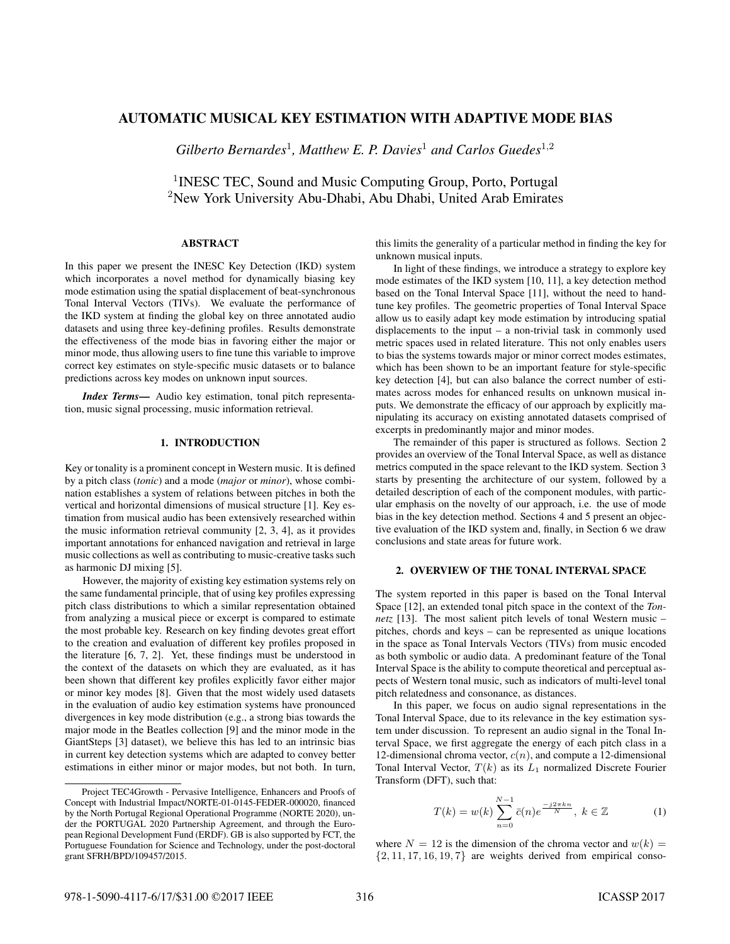# AUTOMATIC MUSICAL KEY ESTIMATION WITH ADAPTIVE MODE BIAS

*Gilberto Bernardes*<sup>1</sup>*, Matthew E. P. Davies*<sup>1</sup> *and Carlos Guedes*<sup>1</sup>*,*<sup>2</sup>

<sup>1</sup>INESC TEC, Sound and Music Computing Group, Porto, Portugal <sup>2</sup>New York University Abu-Dhabi, Abu Dhabi, United Arab Emirates

# ABSTRACT

In this paper we present the INESC Key Detection (IKD) system which incorporates a novel method for dynamically biasing key mode estimation using the spatial displacement of beat-synchronous Tonal Interval Vectors (TIVs). We evaluate the performance of the IKD system at finding the global key on three annotated audio datasets and using three key-defining profiles. Results demonstrate the effectiveness of the mode bias in favoring either the major or minor mode, thus allowing users to fine tune this variable to improve correct key estimates on style-specific music datasets or to balance predictions across key modes on unknown input sources.

*Index Terms*— Audio key estimation, tonal pitch representation, music signal processing, music information retrieval.

## 1. INTRODUCTION

Key or tonality is a prominent concept in Western music. It is defined by a pitch class (*tonic*) and a mode (*major* or *minor*), whose combination establishes a system of relations between pitches in both the vertical and horizontal dimensions of musical structure [1]. Key estimation from musical audio has been extensively researched within the music information retrieval community [2, 3, 4], as it provides important annotations for enhanced navigation and retrieval in large music collections as well as contributing to music-creative tasks such as harmonic DJ mixing [5].

However, the majority of existing key estimation systems rely on the same fundamental principle, that of using key profiles expressing pitch class distributions to which a similar representation obtained from analyzing a musical piece or excerpt is compared to estimate the most probable key. Research on key finding devotes great effort to the creation and evaluation of different key profiles proposed in the literature [6, 7, 2]. Yet, these findings must be understood in the context of the datasets on which they are evaluated, as it has been shown that different key profiles explicitly favor either major or minor key modes [8]. Given that the most widely used datasets in the evaluation of audio key estimation systems have pronounced divergences in key mode distribution (e.g., a strong bias towards the major mode in the Beatles collection [9] and the minor mode in the GiantSteps [3] dataset), we believe this has led to an intrinsic bias in current key detection systems which are adapted to convey better estimations in either minor or major modes, but not both. In turn,

this limits the generality of a particular method in finding the key for unknown musical inputs.

In light of these findings, we introduce a strategy to explore key mode estimates of the IKD system [10, 11], a key detection method based on the Tonal Interval Space [11], without the need to handtune key profiles. The geometric properties of Tonal Interval Space allow us to easily adapt key mode estimation by introducing spatial displacements to the input – a non-trivial task in commonly used metric spaces used in related literature. This not only enables users to bias the systems towards major or minor correct modes estimates, which has been shown to be an important feature for style-specific key detection [4], but can also balance the correct number of estimates across modes for enhanced results on unknown musical inputs. We demonstrate the efficacy of our approach by explicitly manipulating its accuracy on existing annotated datasets comprised of excerpts in predominantly major and minor modes.

The remainder of this paper is structured as follows. Section 2 provides an overview of the Tonal Interval Space, as well as distance metrics computed in the space relevant to the IKD system. Section 3 starts by presenting the architecture of our system, followed by a detailed description of each of the component modules, with particular emphasis on the novelty of our approach, i.e. the use of mode bias in the key detection method. Sections 4 and 5 present an objective evaluation of the IKD system and, finally, in Section 6 we draw conclusions and state areas for future work.

# 2. OVERVIEW OF THE TONAL INTERVAL SPACE

The system reported in this paper is based on the Tonal Interval Space [12], an extended tonal pitch space in the context of the *Tonnetz* [13]. The most salient pitch levels of tonal Western music – pitches, chords and keys – can be represented as unique locations in the space as Tonal Intervals Vectors (TIVs) from music encoded as both symbolic or audio data. A predominant feature of the Tonal Interval Space is the ability to compute theoretical and perceptual aspects of Western tonal music, such as indicators of multi-level tonal pitch relatedness and consonance, as distances.

In this paper, we focus on audio signal representations in the Tonal Interval Space, due to its relevance in the key estimation system under discussion. To represent an audio signal in the Tonal Interval Space, we first aggregate the energy of each pitch class in a 12-dimensional chroma vector, *c*(*n*), and compute a 12-dimensional Tonal Interval Vector,  $T(k)$  as its  $L_1$  normalized Discrete Fourier Transform (DFT), such that:

$$
T(k) = w(k) \sum_{n=0}^{N-1} \bar{c}(n) e^{\frac{-j2\pi kn}{N}}, \ k \in \mathbb{Z}
$$
 (1)

where  $N = 12$  is the dimension of the chroma vector and  $w(k) =$ *{*2*,* 11*,* 17*,* 16*,* 19*,* 7*}* are weights derived from empirical conso-

Project TEC4Growth - Pervasive Intelligence, Enhancers and Proofs of Concept with Industrial Impact/NORTE-01-0145-FEDER-000020, financed by the North Portugal Regional Operational Programme (NORTE 2020), under the PORTUGAL 2020 Partnership Agreement, and through the European Regional Development Fund (ERDF). GB is also supported by FCT, the Portuguese Foundation for Science and Technology, under the post-doctoral grant SFRH/BPD/109457/2015.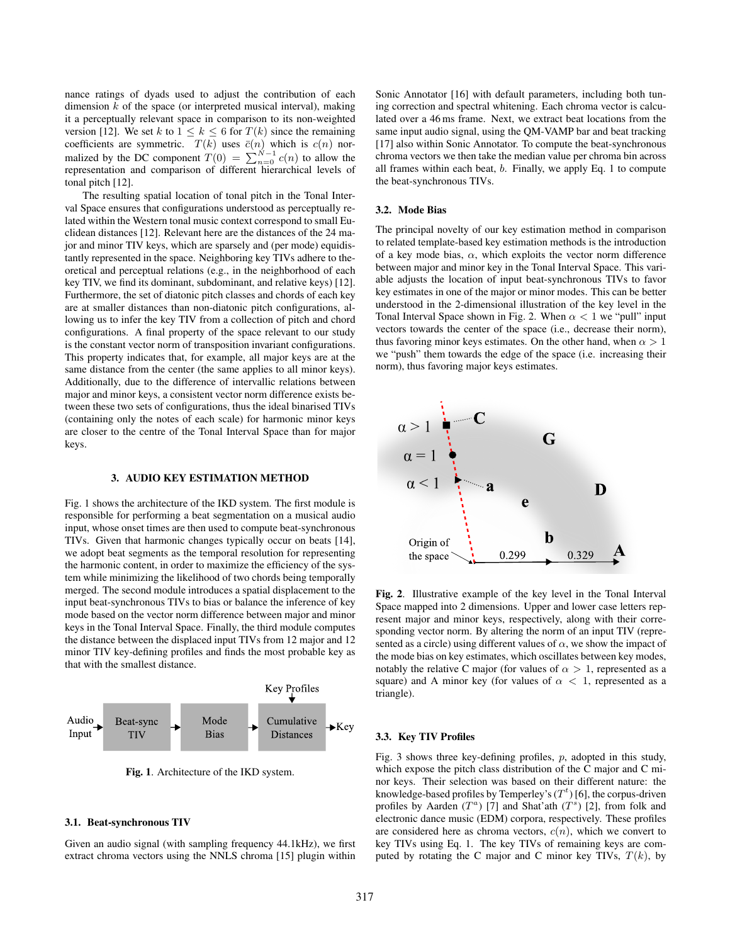nance ratings of dyads used to adjust the contribution of each dimension *k* of the space (or interpreted musical interval), making it a perceptually relevant space in comparison to its non-weighted version [12]. We set *k* to  $1 \leq k \leq 6$  for  $T(k)$  since the remaining coefficients are symmetric.  $T(k)$  uses  $\bar{c}(n)$  which is  $c(n)$  normalized by the DC component  $T(0) = \sum_{n=0}^{N-1} c(n)$  to allow the representation and comparison of different hierarchical levels of tonal pitch [12].

The resulting spatial location of tonal pitch in the Tonal Interval Space ensures that configurations understood as perceptually related within the Western tonal music context correspond to small Euclidean distances [12]. Relevant here are the distances of the 24 major and minor TIV keys, which are sparsely and (per mode) equidistantly represented in the space. Neighboring key TIVs adhere to theoretical and perceptual relations (e.g., in the neighborhood of each key TIV, we find its dominant, subdominant, and relative keys) [12]. Furthermore, the set of diatonic pitch classes and chords of each key are at smaller distances than non-diatonic pitch configurations, allowing us to infer the key TIV from a collection of pitch and chord configurations. A final property of the space relevant to our study is the constant vector norm of transposition invariant configurations. This property indicates that, for example, all major keys are at the same distance from the center (the same applies to all minor keys). Additionally, due to the difference of intervallic relations between major and minor keys, a consistent vector norm difference exists between these two sets of configurations, thus the ideal binarised TIVs (containing only the notes of each scale) for harmonic minor keys are closer to the centre of the Tonal Interval Space than for major keys.

# 3. AUDIO KEY ESTIMATION METHOD

Fig. 1 shows the architecture of the IKD system. The first module is responsible for performing a beat segmentation on a musical audio input, whose onset times are then used to compute beat-synchronous TIVs. Given that harmonic changes typically occur on beats [14], we adopt beat segments as the temporal resolution for representing the harmonic content, in order to maximize the efficiency of the system while minimizing the likelihood of two chords being temporally merged. The second module introduces a spatial displacement to the input beat-synchronous TIVs to bias or balance the inference of key mode based on the vector norm difference between major and minor keys in the Tonal Interval Space. Finally, the third module computes the distance between the displaced input TIVs from 12 major and 12 minor TIV key-defining profiles and finds the most probable key as that with the smallest distance.



Fig. 1. Architecture of the IKD system.

## 3.1. Beat-synchronous TIV

Given an audio signal (with sampling frequency 44.1kHz), we first extract chroma vectors using the NNLS chroma [15] plugin within Sonic Annotator [16] with default parameters, including both tuning correction and spectral whitening. Each chroma vector is calculated over a 46 ms frame. Next, we extract beat locations from the same input audio signal, using the QM-VAMP bar and beat tracking [17] also within Sonic Annotator. To compute the beat-synchronous chroma vectors we then take the median value per chroma bin across all frames within each beat, *b*. Finally, we apply Eq. 1 to compute the beat-synchronous TIVs.

### 3.2. Mode Bias

The principal novelty of our key estimation method in comparison to related template-based key estimation methods is the introduction of a key mode bias,  $\alpha$ , which exploits the vector norm difference between major and minor key in the Tonal Interval Space. This variable adjusts the location of input beat-synchronous TIVs to favor key estimates in one of the major or minor modes. This can be better understood in the 2-dimensional illustration of the key level in the Tonal Interval Space shown in Fig. 2. When  $\alpha < 1$  we "pull" input vectors towards the center of the space (i.e., decrease their norm), thus favoring minor keys estimates. On the other hand, when  $\alpha > 1$ we "push" them towards the edge of the space (i.e. increasing their norm), thus favoring major keys estimates.



Fig. 2. Illustrative example of the key level in the Tonal Interval Space mapped into 2 dimensions. Upper and lower case letters represent major and minor keys, respectively, along with their corresponding vector norm. By altering the norm of an input TIV (represented as a circle) using different values of  $\alpha$ , we show the impact of the mode bias on key estimates, which oscillates between key modes, notably the relative C major (for values of  $\alpha > 1$ , represented as a square) and A minor key (for values of  $\alpha < 1$ , represented as a triangle).

#### 3.3. Key TIV Profiles

Fig. 3 shows three key-defining profiles, *p*, adopted in this study, which expose the pitch class distribution of the C major and C minor keys. Their selection was based on their different nature: the knowledge-based profiles by Temperley's  $(T^t)$  [6], the corpus-driven profiles by Aarden  $(T^a)$  [7] and Shat'ath  $(T^s)$  [2], from folk and electronic dance music (EDM) corpora, respectively. These profiles are considered here as chroma vectors,  $c(n)$ , which we convert to key TIVs using Eq. 1. The key TIVs of remaining keys are computed by rotating the C major and C minor key TIVs,  $T(k)$ , by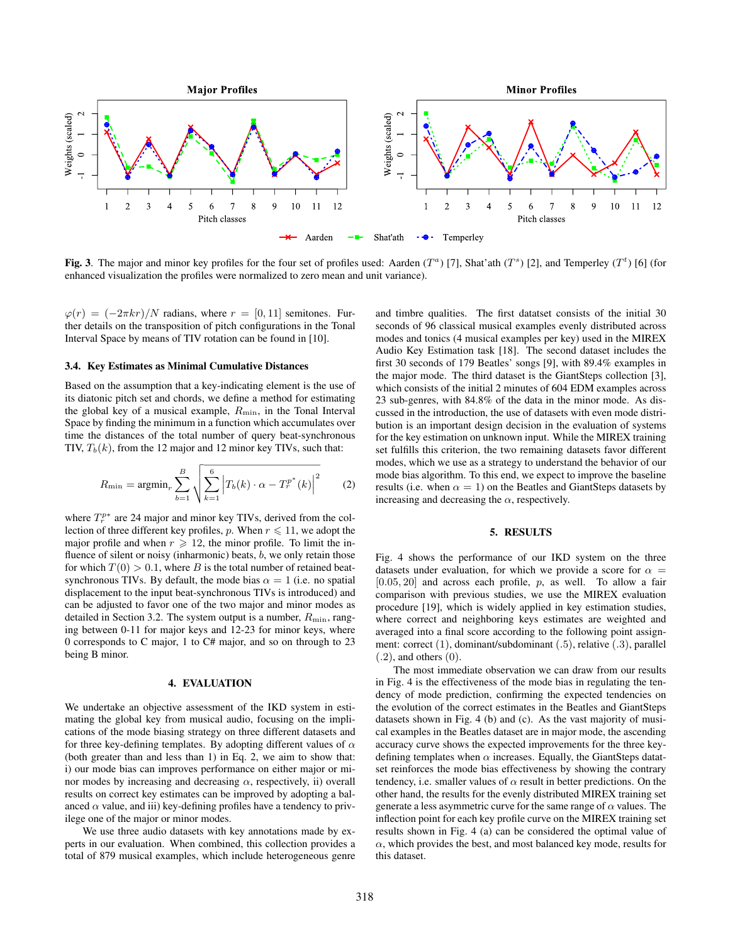

Fig. 3. The major and minor key profiles for the four set of profiles used: Aarden  $(T^a)$  [7], Shat'ath  $(T^s)$  [2], and Temperley  $(T^t)$  [6] (for enhanced visualization the profiles were normalized to zero mean and unit variance).

 $\varphi(r) = (-2\pi kr)/N$  radians, where  $r = [0, 11]$  semitones. Further details on the transposition of pitch configurations in the Tonal Interval Space by means of TIV rotation can be found in [10].

### 3.4. Key Estimates as Minimal Cumulative Distances

Based on the assumption that a key-indicating element is the use of its diatonic pitch set and chords, we define a method for estimating the global key of a musical example,  $R_{\text{min}}$ , in the Tonal Interval Space by finding the minimum in a function which accumulates over time the distances of the total number of query beat-synchronous TIV,  $T_b(k)$ , from the 12 major and 12 minor key TIVs, such that:

$$
R_{\min} = \operatorname{argmin}_{r} \sum_{b=1}^{B} \sqrt{\sum_{k=1}^{6} \left| T_b(k) \cdot \alpha - T_r^{p^*}(k) \right|^2} \qquad (2)
$$

where  $T_r^{p*}$  are 24 major and minor key TIVs, derived from the collection of three different key profiles, *p*. When  $r \leq 11$ , we adopt the major profile and when  $r \geq 12$ , the minor profile. To limit the influence of silent or noisy (inharmonic) beats, *b*, we only retain those for which  $T(0) > 0.1$ , where *B* is the total number of retained beatsynchronous TIVs. By default, the mode bias  $\alpha = 1$  (i.e. no spatial displacement to the input beat-synchronous TIVs is introduced) and can be adjusted to favor one of the two major and minor modes as detailed in Section 3.2. The system output is a number,  $R_{\text{min}}$ , ranging between 0-11 for major keys and 12-23 for minor keys, where 0 corresponds to C major, 1 to C# major, and so on through to 23 being B minor.

### 4. EVALUATION

We undertake an objective assessment of the IKD system in estimating the global key from musical audio, focusing on the implications of the mode biasing strategy on three different datasets and for three key-defining templates. By adopting different values of  $\alpha$ (both greater than and less than 1) in Eq. 2, we aim to show that: i) our mode bias can improves performance on either major or minor modes by increasing and decreasing  $\alpha$ , respectively, ii) overall results on correct key estimates can be improved by adopting a balanced  $\alpha$  value, and iii) key-defining profiles have a tendency to privilege one of the major or minor modes.

We use three audio datasets with key annotations made by experts in our evaluation. When combined, this collection provides a total of 879 musical examples, which include heterogeneous genre and timbre qualities. The first datatset consists of the initial 30 seconds of 96 classical musical examples evenly distributed across modes and tonics (4 musical examples per key) used in the MIREX Audio Key Estimation task [18]. The second dataset includes the first 30 seconds of 179 Beatles' songs [9], with 89.4% examples in the major mode. The third dataset is the GiantSteps collection [3], which consists of the initial 2 minutes of 604 EDM examples across 23 sub-genres, with 84.8% of the data in the minor mode. As discussed in the introduction, the use of datasets with even mode distribution is an important design decision in the evaluation of systems for the key estimation on unknown input. While the MIREX training set fulfills this criterion, the two remaining datasets favor different modes, which we use as a strategy to understand the behavior of our mode bias algorithm. To this end, we expect to improve the baseline results (i.e. when  $\alpha = 1$ ) on the Beatles and GiantSteps datasets by increasing and decreasing the  $\alpha$ , respectively.

# 5. RESULTS

Fig. 4 shows the performance of our IKD system on the three datasets under evaluation, for which we provide a score for  $\alpha$  = [0.05, 20] and across each profile, *p*, as well. To allow a fair comparison with previous studies, we use the MIREX evaluation procedure [19], which is widely applied in key estimation studies, where correct and neighboring keys estimates are weighted and averaged into a final score according to the following point assignment: correct (1), dominant/subdominant (*.*5), relative (*.*3), parallel (*.*2), and others (0).

The most immediate observation we can draw from our results in Fig. 4 is the effectiveness of the mode bias in regulating the tendency of mode prediction, confirming the expected tendencies on the evolution of the correct estimates in the Beatles and GiantSteps datasets shown in Fig. 4 (b) and (c). As the vast majority of musical examples in the Beatles dataset are in major mode, the ascending accuracy curve shows the expected improvements for the three keydefining templates when  $\alpha$  increases. Equally, the GiantSteps datatset reinforces the mode bias effectiveness by showing the contrary tendency, i.e. smaller values of  $\alpha$  result in better predictions. On the other hand, the results for the evenly distributed MIREX training set generate a less asymmetric curve for the same range of  $\alpha$  values. The inflection point for each key profile curve on the MIREX training set results shown in Fig. 4 (a) can be considered the optimal value of  $\alpha$ , which provides the best, and most balanced key mode, results for this dataset.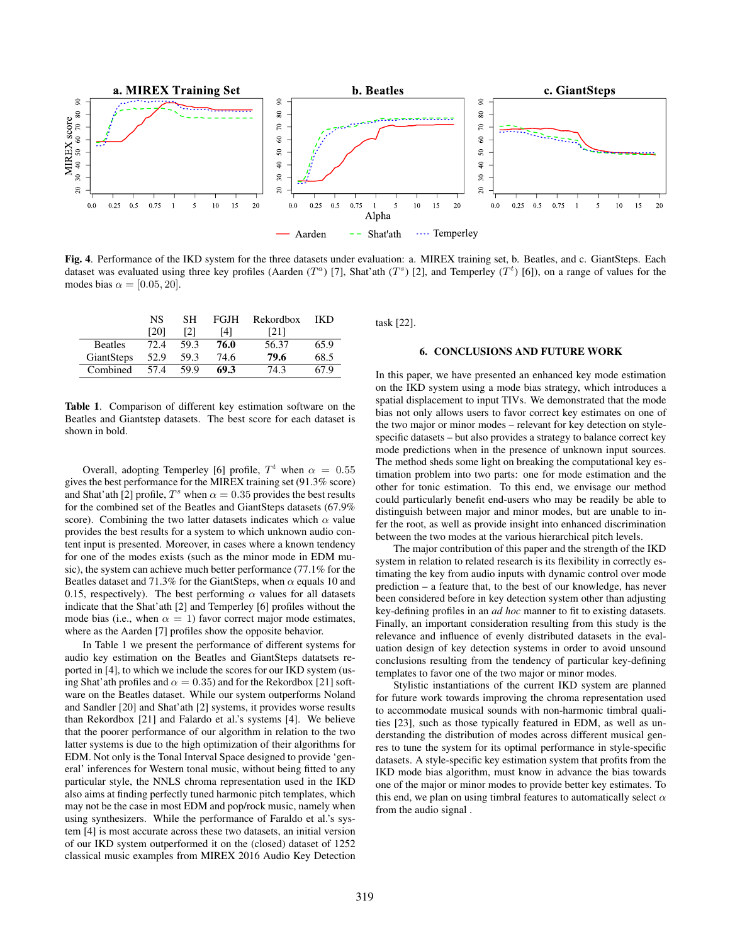

Fig. 4. Performance of the IKD system for the three datasets under evaluation: a. MIREX training set, b. Beatles, and c. GiantSteps. Each dataset was evaluated using three key profiles (Aarden  $(T^a)$  [7], Shat'ath  $(T^s)$  [2], and Temperley  $(T^t)$  [6]), on a range of values for the modes bias  $\alpha = [0.05, 20]$ .

|                | NS   | SН   | <b>FGIH</b> | Rekordbox | IKD  |
|----------------|------|------|-------------|-----------|------|
|                | [20] | [2]  | [4]         | [21]      |      |
| <b>Beatles</b> | 72.4 | 59.3 | 76.0        | 56.37     | 65.9 |
| GiantSteps     | 52.9 | 59.3 | 74.6        | 79.6      | 68.5 |
| Combined       | 57.4 | 59.9 | 69.3        | 74.3      | 67 9 |

Table 1. Comparison of different key estimation software on the Beatles and Giantstep datasets. The best score for each dataset is shown in bold.

Overall, adopting Temperley [6] profile,  $T<sup>t</sup>$  when  $\alpha = 0.55$ gives the best performance for the MIREX training set (91.3% score) and Shat'ath [2] profile,  $T^s$  when  $\alpha = 0.35$  provides the best results for the combined set of the Beatles and GiantSteps datasets (67.9% score). Combining the two latter datasets indicates which  $\alpha$  value provides the best results for a system to which unknown audio content input is presented. Moreover, in cases where a known tendency for one of the modes exists (such as the minor mode in EDM music), the system can achieve much better performance (77.1% for the Beatles dataset and 71.3% for the GiantSteps, when  $\alpha$  equals 10 and 0.15, respectively). The best performing  $\alpha$  values for all datasets indicate that the Shat'ath [2] and Temperley [6] profiles without the mode bias (i.e., when  $\alpha = 1$ ) favor correct major mode estimates, where as the Aarden [7] profiles show the opposite behavior.

In Table 1 we present the performance of different systems for audio key estimation on the Beatles and GiantSteps datatsets reported in [4], to which we include the scores for our IKD system (using Shat'ath profiles and  $\alpha = 0.35$ ) and for the Rekordbox [21] software on the Beatles dataset. While our system outperforms Noland and Sandler [20] and Shat'ath [2] systems, it provides worse results than Rekordbox [21] and Falardo et al.'s systems [4]. We believe that the poorer performance of our algorithm in relation to the two latter systems is due to the high optimization of their algorithms for EDM. Not only is the Tonal Interval Space designed to provide 'general' inferences for Western tonal music, without being fitted to any particular style, the NNLS chroma representation used in the IKD also aims at finding perfectly tuned harmonic pitch templates, which may not be the case in most EDM and pop/rock music, namely when using synthesizers. While the performance of Faraldo et al.'s system [4] is most accurate across these two datasets, an initial version of our IKD system outperformed it on the (closed) dataset of 1252 classical music examples from MIREX 2016 Audio Key Detection task [22].

# 6. CONCLUSIONS AND FUTURE WORK

In this paper, we have presented an enhanced key mode estimation on the IKD system using a mode bias strategy, which introduces a spatial displacement to input TIVs. We demonstrated that the mode bias not only allows users to favor correct key estimates on one of the two major or minor modes – relevant for key detection on stylespecific datasets – but also provides a strategy to balance correct key mode predictions when in the presence of unknown input sources. The method sheds some light on breaking the computational key estimation problem into two parts: one for mode estimation and the other for tonic estimation. To this end, we envisage our method could particularly benefit end-users who may be readily be able to distinguish between major and minor modes, but are unable to infer the root, as well as provide insight into enhanced discrimination between the two modes at the various hierarchical pitch levels.

The major contribution of this paper and the strength of the IKD system in relation to related research is its flexibility in correctly estimating the key from audio inputs with dynamic control over mode prediction – a feature that, to the best of our knowledge, has never been considered before in key detection system other than adjusting key-defining profiles in an *ad hoc* manner to fit to existing datasets. Finally, an important consideration resulting from this study is the relevance and influence of evenly distributed datasets in the evaluation design of key detection systems in order to avoid unsound conclusions resulting from the tendency of particular key-defining templates to favor one of the two major or minor modes.

Stylistic instantiations of the current IKD system are planned for future work towards improving the chroma representation used to accommodate musical sounds with non-harmonic timbral qualities [23], such as those typically featured in EDM, as well as understanding the distribution of modes across different musical genres to tune the system for its optimal performance in style-specific datasets. A style-specific key estimation system that profits from the IKD mode bias algorithm, must know in advance the bias towards one of the major or minor modes to provide better key estimates. To this end, we plan on using timbral features to automatically select  $\alpha$ from the audio signal .